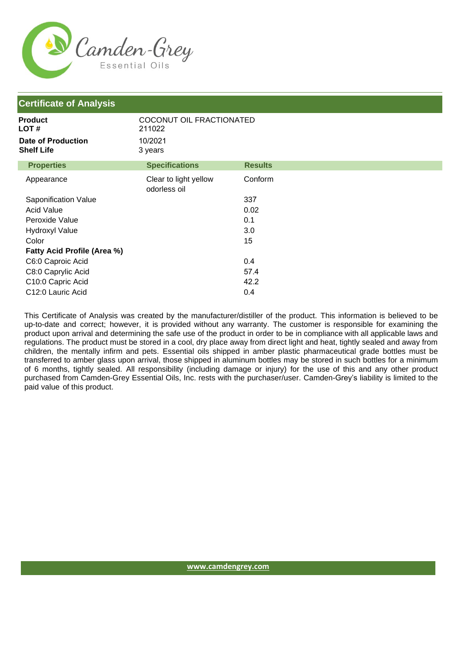

| <b>Certificate of Analysis</b>                 |                                       |                |  |
|------------------------------------------------|---------------------------------------|----------------|--|
| <b>Product</b><br>LOT#                         | COCONUT OIL FRACTIONATED<br>211022    |                |  |
| <b>Date of Production</b><br><b>Shelf Life</b> | 10/2021<br>3 years                    |                |  |
| <b>Properties</b>                              | <b>Specifications</b>                 | <b>Results</b> |  |
| Appearance                                     | Clear to light yellow<br>odorless oil | Conform        |  |
| Saponification Value                           |                                       | 337            |  |
| <b>Acid Value</b>                              |                                       | 0.02           |  |
| Peroxide Value                                 |                                       | 0.1            |  |
| <b>Hydroxyl Value</b>                          |                                       | 3.0            |  |
| Color                                          |                                       | 15             |  |
| <b>Fatty Acid Profile (Area %)</b>             |                                       |                |  |
| C6:0 Caproic Acid                              |                                       | 0.4            |  |
| C8:0 Caprylic Acid                             |                                       | 57.4           |  |
| C10:0 Capric Acid                              |                                       | 42.2           |  |
| C12:0 Lauric Acid                              |                                       | 0.4            |  |

This Certificate of Analysis was created by the manufacturer/distiller of the product. This information is believed to be up-to-date and correct; however, it is provided without any warranty. The customer is responsible for examining the product upon arrival and determining the safe use of the product in order to be in compliance with all applicable laws and regulations. The product must be stored in a cool, dry place away from direct light and heat, tightly sealed and away from children, the mentally infirm and pets. Essential oils shipped in amber plastic pharmaceutical grade bottles must be transferred to amber glass upon arrival, those shipped in aluminum bottles may be stored in such bottles for a minimum of 6 months, tightly sealed. All responsibility (including damage or injury) for the use of this and any other product purchased from Camden-Grey Essential Oils, Inc. rests with the purchaser/user. Camden-Grey's liability is limited to the paid value of this product.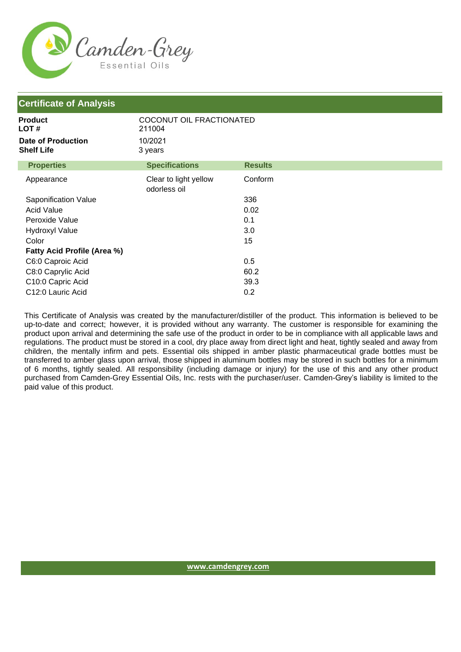

| <b>Certificate of Analysis</b>          |                                       |                |
|-----------------------------------------|---------------------------------------|----------------|
| <b>Product</b><br>LOT #                 | COCONUT OIL FRACTIONATED<br>211004    |                |
| Date of Production<br><b>Shelf Life</b> | 10/2021<br>3 years                    |                |
| <b>Properties</b>                       | <b>Specifications</b>                 | <b>Results</b> |
| Appearance                              | Clear to light yellow<br>odorless oil | Conform        |
| Saponification Value                    |                                       | 336            |
| <b>Acid Value</b>                       |                                       | 0.02           |
| Peroxide Value                          |                                       | 0.1            |
| <b>Hydroxyl Value</b>                   |                                       | 3.0            |
| Color                                   |                                       | 15             |
| Fatty Acid Profile (Area %)             |                                       |                |
| C6:0 Caproic Acid                       |                                       | 0.5            |
| C8:0 Caprylic Acid                      |                                       | 60.2           |
| C10:0 Capric Acid                       |                                       | 39.3           |
| C12:0 Lauric Acid                       |                                       | 0.2            |

This Certificate of Analysis was created by the manufacturer/distiller of the product. This information is believed to be up-to-date and correct; however, it is provided without any warranty. The customer is responsible for examining the product upon arrival and determining the safe use of the product in order to be in compliance with all applicable laws and regulations. The product must be stored in a cool, dry place away from direct light and heat, tightly sealed and away from children, the mentally infirm and pets. Essential oils shipped in amber plastic pharmaceutical grade bottles must be transferred to amber glass upon arrival, those shipped in aluminum bottles may be stored in such bottles for a minimum of 6 months, tightly sealed. All responsibility (including damage or injury) for the use of this and any other product purchased from Camden-Grey Essential Oils, Inc. rests with the purchaser/user. Camden-Grey's liability is limited to the paid value of this product.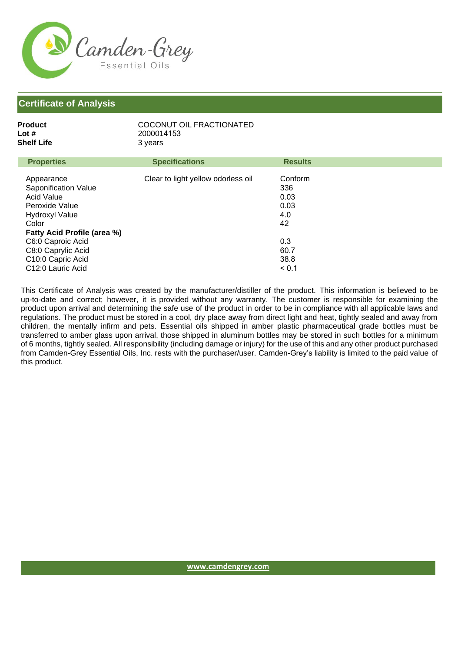

| <b>Properties</b><br><b>Specifications</b><br><b>Results</b><br>Clear to light yellow odorless oil<br>Conform<br>Appearance<br><b>Saponification Value</b><br>336<br><b>Acid Value</b><br>0.03<br>0.03<br>Peroxide Value<br>4.0<br><b>Hydroxyl Value</b><br>Color<br>42<br>Fatty Acid Profile (area %)<br>0.3<br>C6:0 Caproic Acid<br>C8:0 Caprylic Acid<br>60.7<br>C10:0 Capric Acid<br>38.8<br>C12:0 Lauric Acid<br>< 0.1 | <b>Product</b><br>Lot #<br>Shelf Life | COCONUT OIL FRACTIONATED<br>2000014153<br>3 years |  |
|-----------------------------------------------------------------------------------------------------------------------------------------------------------------------------------------------------------------------------------------------------------------------------------------------------------------------------------------------------------------------------------------------------------------------------|---------------------------------------|---------------------------------------------------|--|
|                                                                                                                                                                                                                                                                                                                                                                                                                             |                                       |                                                   |  |
|                                                                                                                                                                                                                                                                                                                                                                                                                             |                                       |                                                   |  |
|                                                                                                                                                                                                                                                                                                                                                                                                                             |                                       |                                                   |  |

This Certificate of Analysis was created by the manufacturer/distiller of the product. This information is believed to be up-to-date and correct; however, it is provided without any warranty. The customer is responsible for examining the product upon arrival and determining the safe use of the product in order to be in compliance with all applicable laws and regulations. The product must be stored in a cool, dry place away from direct light and heat, tightly sealed and away from children, the mentally infirm and pets. Essential oils shipped in amber plastic pharmaceutical grade bottles must be transferred to amber glass upon arrival, those shipped in aluminum bottles may be stored in such bottles for a minimum of 6 months, tightly sealed. All responsibility (including damage or injury) for the use of this and any other product purchased from Camden-Grey Essential Oils, Inc. rests with the purchaser/user. Camden-Grey's liability is limited to the paid value of this product.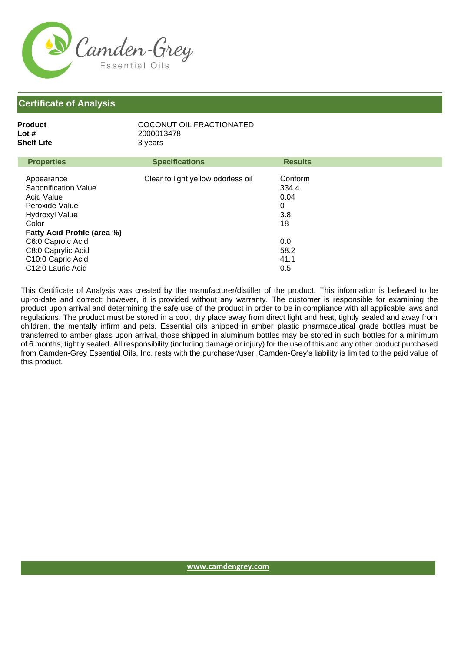

| <b>Properties</b><br><b>Specifications</b><br><b>Results</b><br>Conform<br>Clear to light yellow odorless oil<br>Appearance<br>Saponification Value<br>334.4<br>Acid Value<br>0.04<br>0<br>Peroxide Value<br>3.8<br><b>Hydroxyl Value</b><br>Color<br>18<br>Fatty Acid Profile (area %)<br>C6:0 Caproic Acid<br>0.0<br>C8:0 Caprylic Acid<br>58.2<br>C10:0 Capric Acid<br>41.1<br>C12:0 Lauric Acid<br>0.5 | <b>Product</b><br>Lot #<br>Shelf Life | COCONUT OIL FRACTIONATED<br>2000013478<br>3 years |  |
|------------------------------------------------------------------------------------------------------------------------------------------------------------------------------------------------------------------------------------------------------------------------------------------------------------------------------------------------------------------------------------------------------------|---------------------------------------|---------------------------------------------------|--|
|                                                                                                                                                                                                                                                                                                                                                                                                            |                                       |                                                   |  |
|                                                                                                                                                                                                                                                                                                                                                                                                            |                                       |                                                   |  |

This Certificate of Analysis was created by the manufacturer/distiller of the product. This information is believed to be up-to-date and correct; however, it is provided without any warranty. The customer is responsible for examining the product upon arrival and determining the safe use of the product in order to be in compliance with all applicable laws and regulations. The product must be stored in a cool, dry place away from direct light and heat, tightly sealed and away from children, the mentally infirm and pets. Essential oils shipped in amber plastic pharmaceutical grade bottles must be transferred to amber glass upon arrival, those shipped in aluminum bottles may be stored in such bottles for a minimum of 6 months, tightly sealed. All responsibility (including damage or injury) for the use of this and any other product purchased from Camden-Grey Essential Oils, Inc. rests with the purchaser/user. Camden-Grey's liability is limited to the paid value of this product.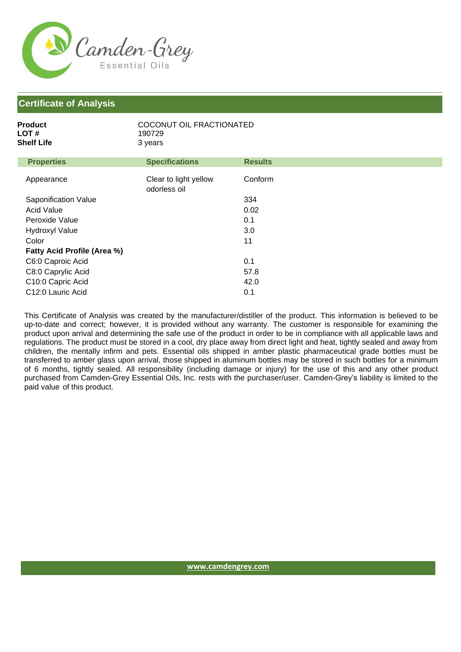

| Product    | COCONUT OIL FRACTIONATED |
|------------|--------------------------|
| LOT #      | 190729                   |
| Shelf Life | 3 years                  |
|            |                          |

| <b>Properties</b>                  | <b>Specifications</b>                 | <b>Results</b> |
|------------------------------------|---------------------------------------|----------------|
| Appearance                         | Clear to light yellow<br>odorless oil | Conform        |
| Saponification Value               |                                       | 334            |
| <b>Acid Value</b>                  |                                       | 0.02           |
| Peroxide Value                     |                                       | 0.1            |
| <b>Hydroxyl Value</b>              |                                       | 3.0            |
| Color                              |                                       | 11             |
| <b>Fatty Acid Profile (Area %)</b> |                                       |                |
| C6:0 Caproic Acid                  |                                       | 0.1            |
| C8:0 Caprylic Acid                 |                                       | 57.8           |
| C10:0 Capric Acid                  |                                       | 42.0           |
| C <sub>12</sub> :0 Lauric Acid     |                                       | 0.1            |

This Certificate of Analysis was created by the manufacturer/distiller of the product. This information is believed to be up-to-date and correct; however, it is provided without any warranty. The customer is responsible for examining the product upon arrival and determining the safe use of the product in order to be in compliance with all applicable laws and regulations. The product must be stored in a cool, dry place away from direct light and heat, tightly sealed and away from children, the mentally infirm and pets. Essential oils shipped in amber plastic pharmaceutical grade bottles must be transferred to amber glass upon arrival, those shipped in aluminum bottles may be stored in such bottles for a minimum of 6 months, tightly sealed. All responsibility (including damage or injury) for the use of this and any other product purchased from Camden-Grey Essential Oils, Inc. rests with the purchaser/user. Camden-Grey's liability is limited to the paid value of this product.